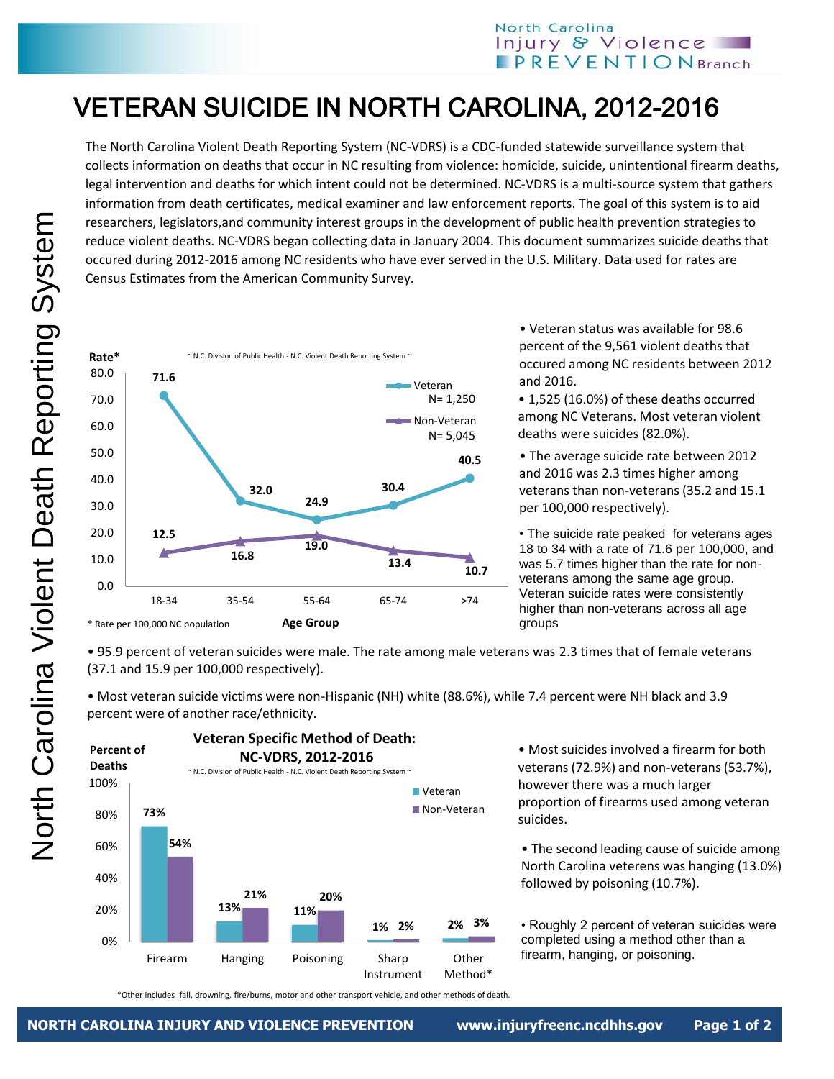## North Carolina Injury & Violence  $$

## VETERAN SUICIDE IN NORTH CAROLINA, 2012-2016

The North Carolina Violent Death Reporting System (NC-VDRS) is a CDC-funded statewide surveillance system that collects information on deaths that occur in NC resulting from violence: homicide, suicide, unintentional firearm deaths, legal intervention and deaths for which intent could not be determined. NC-VDRS is a multi-source system that gathers information from death certificates, medical examiner and law enforcement reports. The goal of this system is to aid researchers, legislators,and community interest groups in the development of public health prevention strategies to reduce violent deaths. NC-VDRS began collecting data in January 2004. This document summarizes suicide deaths that occured during 2012-2016 among NC residents who have ever served in the U.S. Military. Data used for rates are Census Estimates from the American Community Survey.



• Veteran status was available for 98.6 percent of the 9,561 violent deaths that occured among NC residents between 2012 and 2016.

• 1,525 (16.0%) of these deaths occurred among NC Veterans. Most veteran violent deaths were suicides (82.0%).

• The average suicide rate between 2012 and 2016 was 2.3 times higher among veterans than non-veterans (35.2 and 15.1 per 100,000 respectively).

• The suicide rate peaked for veterans ages 18 to 34 with a rate of 71.6 per 100,000, and was 5.7 times higher than the rate for nonveterans among the same age group. Veteran suicide rates were consistently higher than non-veterans across all age groups

• 95.9 percent of veteran suicides were male. The rate among male veterans was 2.3 times that of female veterans (37.1 and 15.9 per 100,000 respectively).

• Most veteran suicide victims were non-Hispanic (NH) white (88.6%), while 7.4 percent were NH black and 3.9 percent were of another race/ethnicity.



• Most suicides involved a firearm for both veterans (72.9%) and non-veterans (53.7%), however there was a much larger proportion of firearms used among veteran suicides.

• The second leading cause of suicide among North Carolina veterens was hanging (13.0%) followed by poisoning (10.7%).

• Roughly 2 percent of veteran suicides were completed using a method other than a firearm, hanging, or poisoning.

\*Other includes fall, drowning, fire/burns, motor and other transport vehicle, and other methods of death.